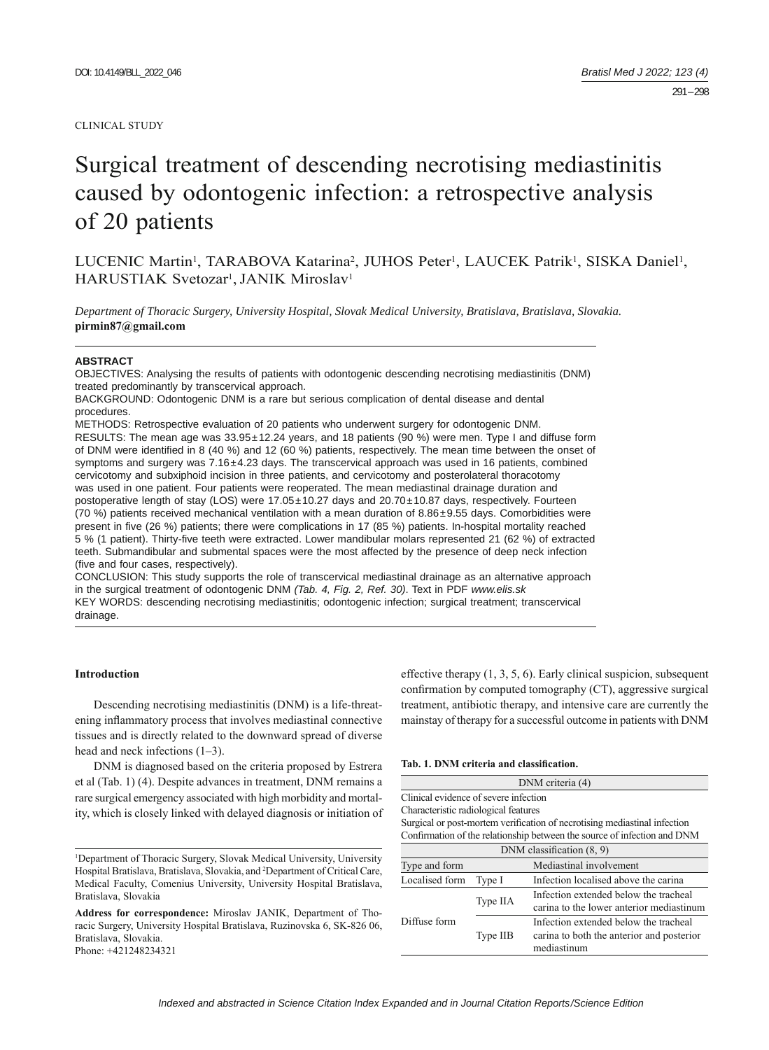#### CLINICAL STUDY

# Surgical treatment of descending necrotising mediastinitis caused by odontogenic infection: a retrospective analysis of 20 patients

LUCENIC Martin<sup>1</sup>, TARABOVA Katarina<sup>2</sup>, JUHOS Peter<sup>1</sup>, LAUCEK Patrik<sup>1</sup>, SISKA Daniel<sup>1</sup>, HARUSTIAK Svetozar<sup>1</sup>, JANIK Miroslav<sup>1</sup>

*Department of Thoracic Surgery, University Hospital, Slovak Medical University, Bratislava, Bratislava, Slovakia.*  **pirmin87@gmail.com**

#### **ABSTRACT**

OBJECTIVES: Analysing the results of patients with odontogenic descending necrotising mediastinitis (DNM) treated predominantly by transcervical approach.

BACKGROUND: Odontogenic DNM is a rare but serious complication of dental disease and dental procedures.

METHODS: Retrospective evaluation of 20 patients who underwent surgery for odontogenic DNM. RESULTS: The mean age was 33.95±12.24 years, and 18 patients (90 %) were men. Type I and diffuse form of DNM were identified in 8 (40 %) and 12 (60 %) patients, respectively. The mean time between the onset of symptoms and surgery was 7.16±4.23 days. The transcervical approach was used in 16 patients, combined cervicotomy and subxiphoid incision in three patients, and cervicotomy and posterolateral thoracotomy was used in one patient. Four patients were reoperated. The mean mediastinal drainage duration and postoperative length of stay (LOS) were 17.05±10.27 days and 20.70±10.87 days, respectively. Fourteen (70 %) patients received mechanical ventilation with a mean duration of 8.86±9.55 days. Comorbidities were present in five (26 %) patients; there were complications in 17 (85 %) patients. In-hospital mortality reached 5 % (1 patient). Thirty-fi ve teeth were extracted. Lower mandibular molars represented 21 (62 %) of extracted teeth. Submandibular and submental spaces were the most affected by the presence of deep neck infection (five and four cases, respectively).

CONCLUSION: This study supports the role of transcervical mediastinal drainage as an alternative approach in the surgical treatment of odontogenic DNM *(Tab. 4, Fig. 2, Ref. 30)*. Text in PDF *www.elis.sk* KEY WORDS: descending necrotising mediastinitis; odontogenic infection; surgical treatment; transcervical drainage.

# **Introduction**

Descending necrotising mediastinitis (DNM) is a life-threatening inflammatory process that involves mediastinal connective tissues and is directly related to the downward spread of diverse head and neck infections (1–3).

DNM is diagnosed based on the criteria proposed by Estrera et al (Tab. 1) (4). Despite advances in treatment, DNM remains a rare surgical emergency associated with high morbidity and mortality, which is closely linked with delayed diagnosis or initiation of

Phone: +421248234321

effective therapy (1, 3, 5, 6). Early clinical suspicion, subsequent confirmation by computed tomography  $(CT)$ , aggressive surgical treatment, antibiotic therapy, and intensive care are currently the mainstay of therapy for a successful outcome in patients with DNM

#### Tab. 1. DNM criteria and classification.

|                                       |          | DNM criteria (4)                                                                                  |
|---------------------------------------|----------|---------------------------------------------------------------------------------------------------|
| Clinical evidence of severe infection |          |                                                                                                   |
| Characteristic radiological features  |          |                                                                                                   |
|                                       |          | Surgical or post-mortem verification of necrotising mediastinal infection                         |
|                                       |          | Confirmation of the relationship between the source of infection and DNM                          |
|                                       |          | DNM classification $(8, 9)$                                                                       |
| Type and form                         |          | Mediastinal involvement                                                                           |
| Localised form                        | Type I   | Infection localised above the carina                                                              |
|                                       | Type IIA | Infection extended below the tracheal<br>carina to the lower anterior mediastinum                 |
| Diffuse form                          | Type IIB | Infection extended below the tracheal<br>carina to both the anterior and posterior<br>mediastinum |

<sup>1</sup> Department of Thoracic Surgery, Slovak Medical University, University Hospital Bratislava, Bratislava, Slovakia, and 2 Department of Critical Care, Medical Faculty, Comenius University, University Hospital Bratislava, Bratislava, Slovakia

**Address for correspondence:** Miroslav JANIK, Department of Thoracic Surgery, University Hospital Bratislava, Ruzinovska 6, SK-826 06, Bratislava, Slovakia.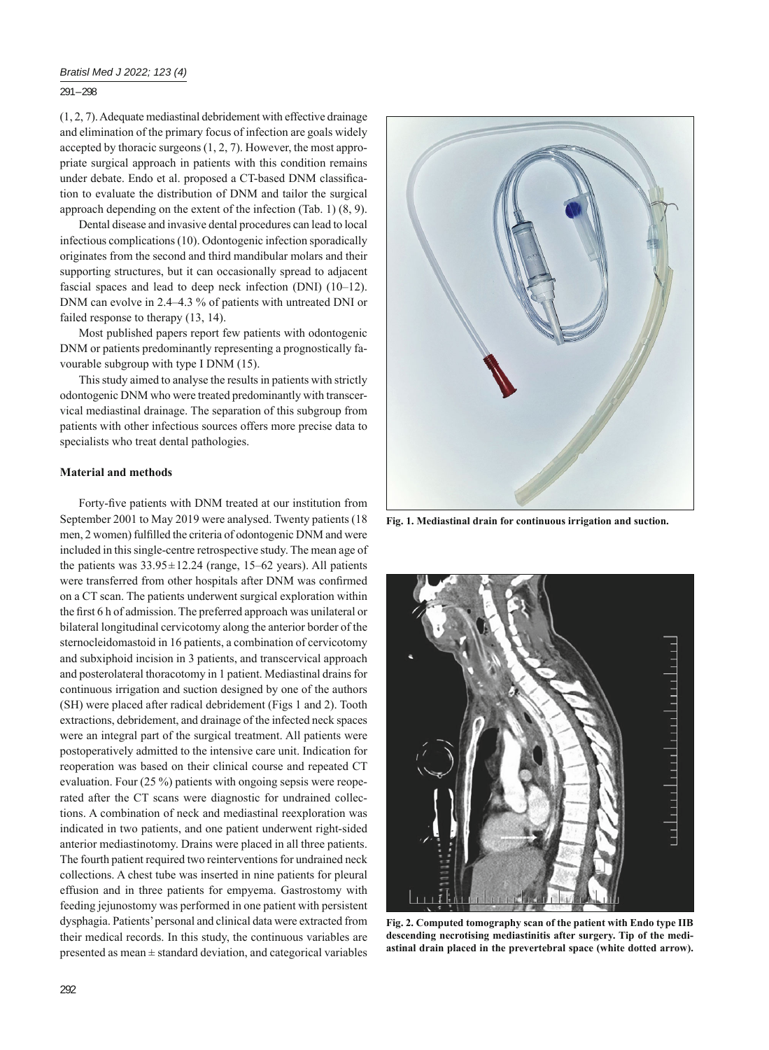291 – 298

(1, 2, 7). Adequate mediastinal debridement with effective drainage and elimination of the primary focus of infection are goals widely accepted by thoracic surgeons (1, 2, 7). However, the most appropriate surgical approach in patients with this condition remains under debate. Endo et al. proposed a CT-based DNM classification to evaluate the distribution of DNM and tailor the surgical approach depending on the extent of the infection (Tab. 1) (8, 9).

Dental disease and invasive dental procedures can lead to local infectious complications (10). Odontogenic infection sporadically originates from the second and third mandibular molars and their supporting structures, but it can occasionally spread to adjacent fascial spaces and lead to deep neck infection (DNI) (10–12). DNM can evolve in 2.4–4.3 % of patients with untreated DNI or failed response to therapy (13, 14).

Most published papers report few patients with odontogenic DNM or patients predominantly representing a prognostically favourable subgroup with type I DNM (15).

This study aimed to analyse the results in patients with strictly odontogenic DNM who were treated predominantly with transcervical mediastinal drainage. The separation of this subgroup from patients with other infectious sources offers more precise data to specialists who treat dental pathologies.

### **Material and methods**

Forty-five patients with DNM treated at our institution from September 2001 to May 2019 were analysed. Twenty patients (18 men, 2 women) fulfilled the criteria of odontogenic DNM and were included in this single-centre retrospective study. The mean age of the patients was  $33.95 \pm 12.24$  (range, 15–62 years). All patients were transferred from other hospitals after DNM was confirmed on a CT scan. The patients underwent surgical exploration within the first 6 h of admission. The preferred approach was unilateral or bilateral longitudinal cervicotomy along the anterior border of the sternocleidomastoid in 16 patients, a combination of cervicotomy and subxiphoid incision in 3 patients, and transcervical approach and posterolateral thoracotomy in 1 patient. Mediastinal drains for continuous irrigation and suction designed by one of the authors (SH) were placed after radical debridement (Figs 1 and 2). Tooth extractions, debridement, and drainage of the infected neck spaces were an integral part of the surgical treatment. All patients were postoperatively admitted to the intensive care unit. Indication for reoperation was based on their clinical course and repeated CT evaluation. Four (25 %) patients with ongoing sepsis were reoperated after the CT scans were diagnostic for undrained collections. A combination of neck and mediastinal reexploration was indicated in two patients, and one patient underwent right-sided anterior mediastinotomy. Drains were placed in all three patients. The fourth patient required two reinterventions for undrained neck collections. A chest tube was inserted in nine patients for pleural effusion and in three patients for empyema. Gastrostomy with feeding jejunostomy was performed in one patient with persistent dysphagia. Patients' personal and clinical data were extracted from their medical records. In this study, the continuous variables are presented as mean  $\pm$  standard deviation, and categorical variables



**Fig. 1. Mediastinal drain for continuous irrigation and suction.**



**Fig. 2. Computed tomography scan of the patient with Endo type IIB descending necrotising mediastinitis after surgery. Tip of the mediastinal drain placed in the prevertebral space (white dotted arrow).**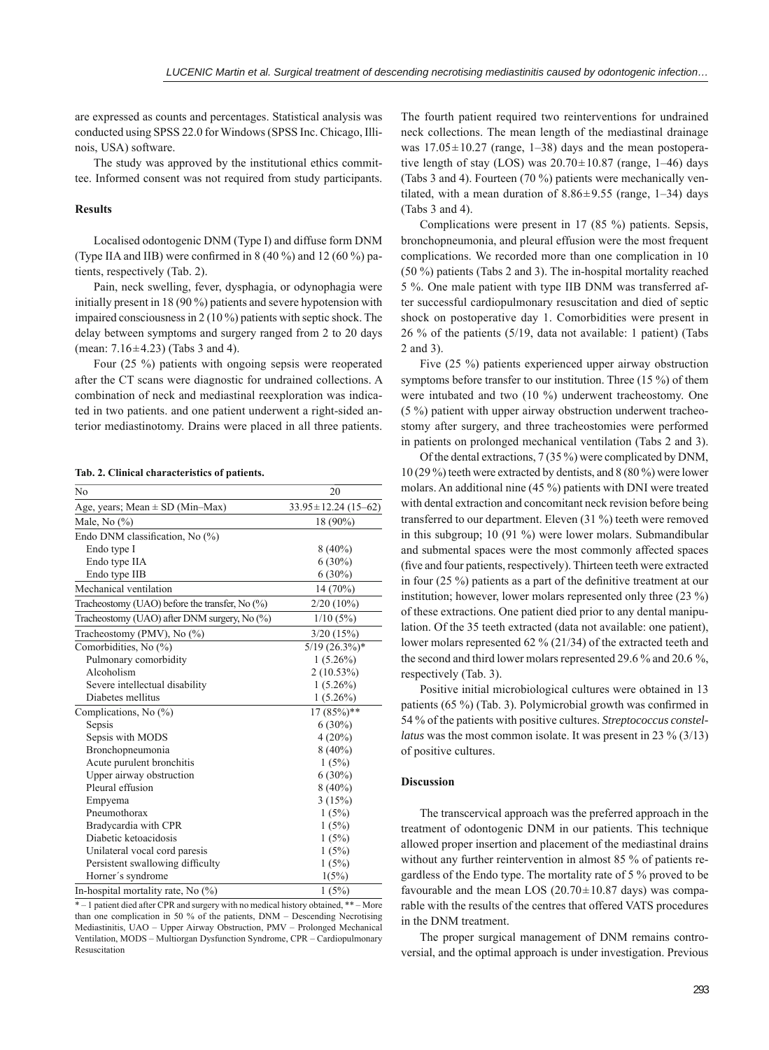are expressed as counts and percentages. Statistical analysis was conducted using SPSS 22.0 for Windows (SPSS Inc. Chicago, Illinois, USA) software.

The study was approved by the institutional ethics committee. Informed consent was not required from study participants.

#### **Results**

Localised odontogenic DNM (Type I) and diffuse form DNM (Type IIA and IIB) were confirmed in  $8(40\%)$  and  $12(60\%)$  patients, respectively (Tab. 2).

Pain, neck swelling, fever, dysphagia, or odynophagia were initially present in 18 (90 %) patients and severe hypotension with impaired consciousness in 2 (10 %) patients with septic shock. The delay between symptoms and surgery ranged from 2 to 20 days (mean: 7.16±4.23) (Tabs 3 and 4).

Four (25 %) patients with ongoing sepsis were reoperated after the CT scans were diagnostic for undrained collections. A combination of neck and mediastinal reexploration was indicated in two patients. and one patient underwent a right-sided anterior mediastinotomy. Drains were placed in all three patients.

#### **Tab. 2. Clinical characteristics of patients.**

| No                                                | 20                        |
|---------------------------------------------------|---------------------------|
| Age, years; Mean $\pm$ SD (Min–Max)               | $33.95 \pm 12.24$ (15-62) |
| Male, No (%)                                      | 18 (90%)                  |
| Endo DNM classification, No (%)                   |                           |
| Endo type I                                       | $8(40\%)$                 |
| Endo type IIA                                     | $6(30\%)$                 |
| Endo type IIB                                     | $6(30\%)$                 |
| Mechanical ventilation                            | 14 (70%)                  |
| Tracheostomy (UAO) before the transfer, No $(\%)$ | $2/20(10\%)$              |
| Tracheostomy (UAO) after DNM surgery, No (%)      | 1/10(5%)                  |
| Tracheostomy (PMV), No (%)                        | 3/20(15%)                 |
| Comorbidities, No (%)                             | $5/19$ $(26.3\%)*$        |
| Pulmonary comorbidity                             | $1(5.26\%)$               |
| Alcoholism                                        | 2(10.53%)                 |
| Severe intellectual disability                    | $1(5.26\%)$               |
| Diabetes mellitus                                 | $1(5.26\%)$               |
| Complications, No $(\%)$                          | $17(85%)$ **              |
| Sepsis                                            | $6(30\%)$                 |
| Sepsis with MODS                                  | $4(20\%)$                 |
| Bronchopneumonia                                  | $8(40\%)$                 |
| Acute purulent bronchitis                         | 1(5%)                     |
| Upper airway obstruction                          | $6(30\%)$                 |
| Pleural effusion                                  | $8(40\%)$                 |
| Empyema                                           | 3(15%)                    |
| Pneumothorax                                      | 1(5%)                     |
| Bradycardia with CPR                              | 1(5%)                     |
| Diabetic ketoacidosis                             | 1(5%)                     |
| Unilateral vocal cord paresis                     | 1(5%)                     |
| Persistent swallowing difficulty                  | 1(5%)                     |
| Horner's syndrome                                 | 1(5%)                     |
| In-hospital mortality rate, No (%)                | 1(5%)                     |

 $*$  – 1 patient died after CPR and surgery with no medical history obtained,  $**$  – More than one complication in 50 % of the patients, DNM – Descending Necrotising Mediastinitis, UAO – Upper Airway Obstruction, PMV – Prolonged Mechanical Ventilation, MODS – Multiorgan Dysfunction Syndrome, CPR – Cardiopulmonary Resuscitation

The fourth patient required two reinterventions for undrained neck collections. The mean length of the mediastinal drainage was  $17.05 \pm 10.27$  (range, 1–38) days and the mean postoperative length of stay (LOS) was  $20.70 \pm 10.87$  (range, 1–46) days (Tabs 3 and 4). Fourteen (70 %) patients were mechanically ventilated, with a mean duration of  $8.86 \pm 9.55$  (range, 1–34) days (Tabs 3 and 4).

Complications were present in 17 (85 %) patients. Sepsis, bronchopneumonia, and pleural effusion were the most frequent complications. We recorded more than one complication in 10 (50 %) patients (Tabs 2 and 3). The in-hospital mortality reached 5 %. One male patient with type IIB DNM was transferred after successful cardiopulmonary resuscitation and died of septic shock on postoperative day 1. Comorbidities were present in 26 % of the patients (5/19, data not available: 1 patient) (Tabs 2 and 3).

Five (25 %) patients experienced upper airway obstruction symptoms before transfer to our institution. Three (15 %) of them were intubated and two (10 %) underwent tracheostomy. One (5 %) patient with upper airway obstruction underwent tracheostomy after surgery, and three tracheostomies were performed in patients on prolonged mechanical ventilation (Tabs 2 and 3).

Of the dental extractions, 7 (35 %) were complicated by DNM, 10 (29 %) teeth were extracted by dentists, and 8 (80 %) were lower molars. An additional nine (45 %) patients with DNI were treated with dental extraction and concomitant neck revision before being transferred to our department. Eleven (31 %) teeth were removed in this subgroup; 10 (91 %) were lower molars. Submandibular and submental spaces were the most commonly affected spaces (five and four patients, respectively). Thirteen teeth were extracted in four  $(25 \%)$  patients as a part of the definitive treatment at our institution; however, lower molars represented only three (23 %) of these extractions. One patient died prior to any dental manipulation. Of the 35 teeth extracted (data not available: one patient), lower molars represented 62 % (21/34) of the extracted teeth and the second and third lower molars represented 29.6 % and 20.6 %, respectively (Tab. 3).

Positive initial microbiological cultures were obtained in 13 patients  $(65 \%)$  (Tab. 3). Polymicrobial growth was confirmed in 54 % of the patients with positive cultures. *Streptococcus constellatus* was the most common isolate. It was present in 23 % (3/13) of positive cultures.

## **Discussion**

The transcervical approach was the preferred approach in the treatment of odontogenic DNM in our patients. This technique allowed proper insertion and placement of the mediastinal drains without any further reintervention in almost 85 % of patients regardless of the Endo type. The mortality rate of 5 % proved to be favourable and the mean LOS  $(20.70 \pm 10.87)$  days) was comparable with the results of the centres that offered VATS procedures in the DNM treatment.

The proper surgical management of DNM remains controversial, and the optimal approach is under investigation. Previous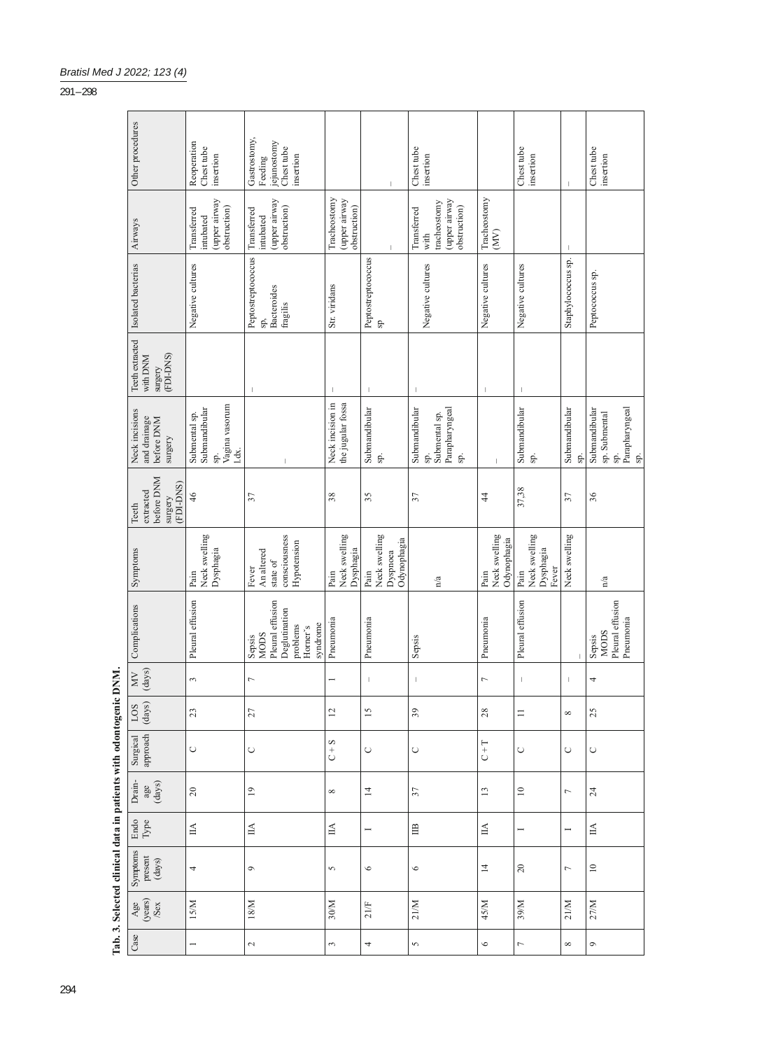|                                                                  | Other procedures                                             | Reoperation<br>Chest tube<br>insertion                           | Gastrostomy,<br>jejunostomy<br>Chest tube<br>insertion<br>Feeding                              |                                               | $\overline{\phantom{a}}$                         | Chest tube<br>insertion                                              |                                      | Chest tube<br>insertion                                                                                                                                                                                                                                                                                                                              | $\overline{1}$           | Chest tube<br>insertion                                                            |
|------------------------------------------------------------------|--------------------------------------------------------------|------------------------------------------------------------------|------------------------------------------------------------------------------------------------|-----------------------------------------------|--------------------------------------------------|----------------------------------------------------------------------|--------------------------------------|------------------------------------------------------------------------------------------------------------------------------------------------------------------------------------------------------------------------------------------------------------------------------------------------------------------------------------------------------|--------------------------|------------------------------------------------------------------------------------|
|                                                                  | Airways                                                      | (upper airway<br>obstruction)<br>Transferred<br>intubated        | (upper airway<br>obstruction)<br>Transferred<br>intubated                                      | Tracheostomy<br>(upper airway<br>obstruction) | $\mathbf{I}$                                     | (upper airway<br>tracheostomy<br>obstruction)<br>Transferred<br>with | Tracheostomy<br>(MV)                 |                                                                                                                                                                                                                                                                                                                                                      | $\overline{\phantom{a}}$ |                                                                                    |
|                                                                  | Isolated bacterias                                           | Negative cultures                                                | Peptostreptococcus<br>Bacteroides<br>fragilis<br>sp,                                           | Str. viridans                                 | Peptostreptococcus<br>Я                          | Negative cultures                                                    | Negative cultures                    | Negative cultures                                                                                                                                                                                                                                                                                                                                    | Staphylococcus sp.       | Peptococcus sp.                                                                    |
|                                                                  | Teeth extracted<br>(FDI-DNS)<br>with DNM<br>surgery          |                                                                  |                                                                                                |                                               | $\mathbf{I}$                                     | $\mathbf{I}$                                                         | J.                                   |                                                                                                                                                                                                                                                                                                                                                      |                          |                                                                                    |
|                                                                  | Neck incisions<br>and drainage<br>before DNM<br>surgery      | sp.<br>Vagina vasorum<br>1.dx.<br>Submental sp.<br>Submandibular |                                                                                                | the jugular fossa<br>Neck incision in         | Submandibular<br>sp.                             | Parapharyngeal<br>Submandibular<br>Submental sp.<br>sp.<br>sp.       | $\overline{1}$                       | Submandibular<br>sp.                                                                                                                                                                                                                                                                                                                                 | Submandibular<br>sp.     | Parapharyngeal<br>sp.<br>Submandibular<br>sp. Submental<br>sp.                     |
|                                                                  | before DNM<br>(FDI-DNS)<br>extracted<br>surgery<br>Teeth     | 46                                                               | 37                                                                                             | 38                                            | 35                                               | 37                                                                   | $\frac{4}{3}$                        | 37,38                                                                                                                                                                                                                                                                                                                                                | 57                       | 36                                                                                 |
|                                                                  | Symptoms                                                     | Neck swelling<br>$\mathbf{D}$ ysphagia<br>Pain                   | consciousness<br>Hypotension<br>An altered<br>state of<br>Fever                                | Neck swelling<br>Dysphagia<br>Pain            | Neck swelling<br>Odynophagia<br>Dyspnoea<br>Pain | n/a                                                                  | Neck swelling<br>Odynophagia<br>Pain | Neck swelling<br>Dysphagia<br>Fever<br>Pain                                                                                                                                                                                                                                                                                                          | Neck swelling            | n/a                                                                                |
|                                                                  | Complications                                                | Pleural effusion                                                 | Pleural effusion<br>Deglutination<br>syndrome<br>problems<br>Horner's<br><b>MODS</b><br>Sepsis | Pneumonia                                     | Pneumonia                                        | Sepsis                                                               | Pneumonia                            | Pleural effusion                                                                                                                                                                                                                                                                                                                                     |                          | Pleural effusion<br>Pneumonia<br><b>MODS</b><br>Sepsis                             |
|                                                                  | $\frac{(\text{days})}{\text{days}}$<br>$\mathop{\rm MW}$     | 3                                                                | $\overline{ }$                                                                                 |                                               | $\mathbf{I}$                                     | $\mathsf I$                                                          | $\overline{ }$                       | $\begin{array}{c} \rule{0.2cm}{0.15cm} \rule{0.2cm}{0.15cm} \rule{0.2cm}{0.15cm} \rule{0.2cm}{0.15cm} \rule{0.2cm}{0.15cm} \rule{0.2cm}{0.15cm} \rule{0.2cm}{0.15cm} \rule{0.2cm}{0.15cm} \rule{0.2cm}{0.15cm} \rule{0.2cm}{0.15cm} \rule{0.2cm}{0.15cm} \rule{0.2cm}{0.15cm} \rule{0.2cm}{0.15cm} \rule{0.2cm}{0.15cm} \rule{0.2cm}{0.15cm} \rule{$ | $\overline{\phantom{a}}$ | 4                                                                                  |
|                                                                  | $\begin{array}{c c} \text{LOS} \\ \text{(days)} \end{array}$ | $23\,$                                                           | 27                                                                                             | $\overline{c}$                                | $\overline{15}$                                  | 39                                                                   | $28$                                 | $\equiv$                                                                                                                                                                                                                                                                                                                                             | ${}^{\circ}$             | 25                                                                                 |
|                                                                  | Surgical<br>approach                                         | $\cup$                                                           | $\circ$                                                                                        | $C + S$                                       | $\circ$                                          | $\circ$                                                              | $C + T$                              | $\cup$                                                                                                                                                                                                                                                                                                                                               | $\cup$                   | $\circlearrowright$                                                                |
|                                                                  | Drain-<br>$\underset{\text{dag}}{\text{age}}$                | $20\,$                                                           | $\overline{0}$                                                                                 | ${}^{\circ}$                                  | $\overline{4}$                                   | 37                                                                   | 13                                   | $\Xi$                                                                                                                                                                                                                                                                                                                                                | $\overline{ }$           | 24                                                                                 |
|                                                                  | Endo<br>Type                                                 | $\ensuremath{\mathop{\mathbb{H}}}\xspace$                        | $\mathbb{H}$                                                                                   | $\mathbb H$                                   |                                                  | $\mathbb{B}$                                                         | $\mathbb H$                          | Η                                                                                                                                                                                                                                                                                                                                                    |                          | $\ensuremath{\mathop{\mathbb{H}}\nolimits}$                                        |
| Tab. 3. Selected clinical data in patients with odontogenic DNM. |                                                              | 4                                                                | $\circ$                                                                                        | 5                                             | $\circ$                                          | $\circ$                                                              | $\overline{4}$                       | $20\,$                                                                                                                                                                                                                                                                                                                                               | $\overline{ }$           | $\ensuremath{\mathop{\boxtimes}\limits^{\mathop{\mathop{\mathrm{max}}\nolimits}}}$ |
|                                                                  | $\frac{\text{Age}}{\text{Year}}$                             | 15/M                                                             | $18/M$                                                                                         | 30/M                                          | 21/F                                             | 21/M                                                                 | 45/M                                 | 39/M                                                                                                                                                                                                                                                                                                                                                 | 21/M                     | 27/M                                                                               |
|                                                                  | Case                                                         | $\overline{\phantom{0}}$                                         | $\sim$                                                                                         | 3                                             | 4                                                | $\sim$                                                               | $\circ$                              | $\overline{a}$                                                                                                                                                                                                                                                                                                                                       | ${}^{\circ}$             | $\circ$                                                                            |

# *Bratisl Med J 2022; 123 (4)*

# $\frac{1}{291 - 298}$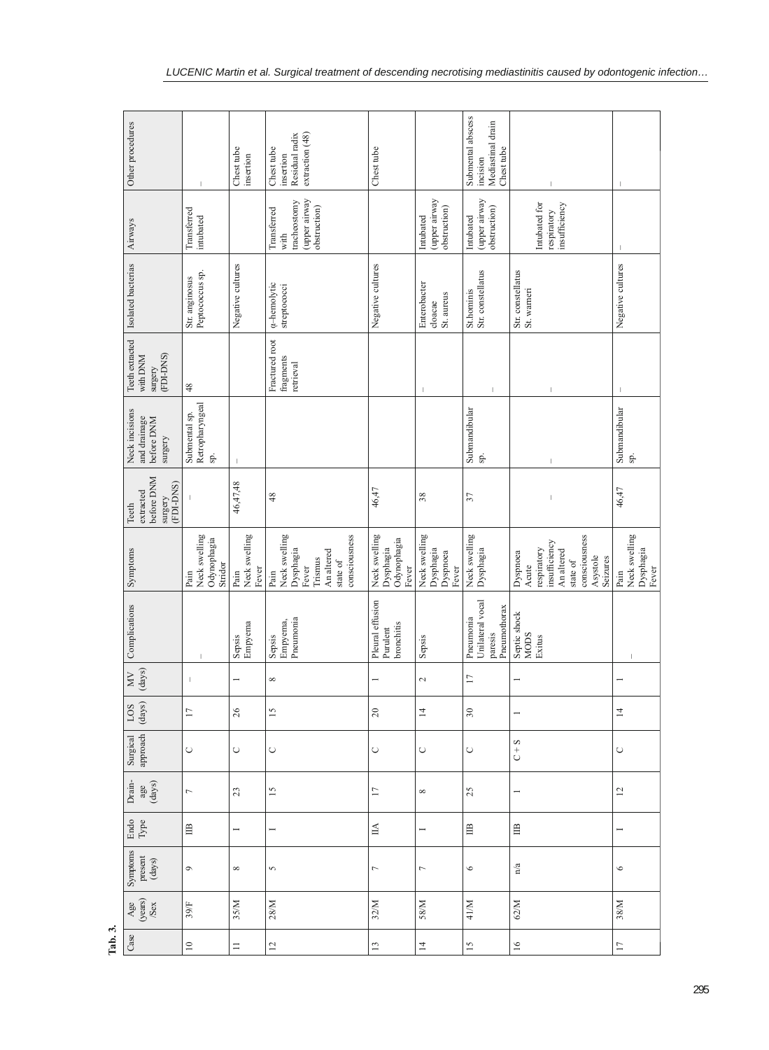| Other procedures                                                            |                                                 | Chest tube<br>insertion        | extraction (48)<br>insertion<br>Residual radix<br>Chest tube                                      | Chest tube                                         |                                                 | Submental abscess<br>Mediastinal drain<br>Chest tube<br>incision | $\mathbf{I}$                                                                                                         | $\mathbf{I}$                                |
|-----------------------------------------------------------------------------|-------------------------------------------------|--------------------------------|---------------------------------------------------------------------------------------------------|----------------------------------------------------|-------------------------------------------------|------------------------------------------------------------------|----------------------------------------------------------------------------------------------------------------------|---------------------------------------------|
| Airways                                                                     | Transferred<br>intubated                        |                                | (upper airway<br>tracheostomy<br>obstruction)<br>Transferred<br>with                              |                                                    | (upper airway<br>obstruction)<br>Intubated      | (upper airway<br>obstruction)<br>Intubated                       | Intubated for<br>insufficiency<br>respiratory                                                                        | $\mathbf{I}$                                |
| Isolated bacterias                                                          | Peptococcus sp.<br>Str. anginosus               | Negative cultures              | <i><b>a-hemolytic</b></i><br>streptococci                                                         | Negative cultures                                  | Enterobacter<br>St. aureus<br>cloacae           | St.hominis<br>Str. constellatus                                  | Str. constellatus<br>St. warneri                                                                                     | Negative cultures                           |
| Teeth extracted<br>(FDI-DNS)<br>with DNM<br>surgery                         | 48                                              |                                | Fractured root<br>fragments<br>retrieval                                                          |                                                    |                                                 | т                                                                | J.                                                                                                                   |                                             |
| Neck incisions<br>and drainage<br>before DNM<br>surgery                     | Retropharyngeal<br>Submental sp.<br>sp.         | $\mathbf{I}$                   |                                                                                                   |                                                    |                                                 | Submandibular<br>sp.                                             | $\mathsf I$                                                                                                          | Submandibular<br>sp.                        |
| before DNM<br>(FDI-DNS)<br>extracted<br>surgery<br>Teeth                    |                                                 | 46,47,48                       | 48                                                                                                | 46,47                                              | 38                                              | 37                                                               | $\,$ $\,$                                                                                                            | 46,47                                       |
| Symptoms                                                                    | Neck swelling<br>Odynophagia<br>Stridor<br>Pain | Neck swelling<br>Fever<br>Pain | Neck swelling<br>consciousness<br>Dysphagia<br>An altered<br>Trismus<br>state of<br>Fever<br>Pain | Neck swelling<br>Odynophagia<br>Dysphagia<br>Fever | Neck swelling<br>Dysphagia<br>Dyspnoea<br>Fever | Neck swelling<br>Dysphagia                                       | consciousness<br>insufficiency<br>respiratory<br>An altered<br>Dyspnoea<br>Asystole<br>Seizures<br>state of<br>Acute | Neck swelling<br>Dysphagia<br>Fever<br>Pain |
| Complications                                                               |                                                 | Empyema<br>Sepsis              | Pneumonia<br>Empyema,<br>Sepsis                                                                   | Pleural effusion<br>bronchitis<br>Purulent         | Sepsis                                          | Unilateral vocal<br>Pneumothorax<br>Pneumonia<br>paresis         | Septic shock<br><b>MODS</b><br>Exitus                                                                                |                                             |
| $M$<br>(days)                                                               | $\overline{1}$                                  |                                | ${}^{\circ}$                                                                                      |                                                    | $\sim$                                          | $\overline{17}$                                                  |                                                                                                                      |                                             |
| LOS<br>$\frac{(\text{days})}{\text{days}}$                                  | $\Box$                                          | 26                             | $\overline{15}$                                                                                   | $20\,$                                             | $\overline{4}$                                  | $\boldsymbol{\mathcal{S}}0$                                      |                                                                                                                      | $\overline{4}$                              |
| Surgical<br>approach                                                        | $\circ$                                         | $\cup$                         | $\cup$                                                                                            | $\cup$                                             | O                                               | $\cup$                                                           | $C + S$                                                                                                              | $\cup$                                      |
| Drain-<br>$\underset{\text{(days)}}{\text{age}}$                            | $\overline{r}$                                  | 23                             | $\overline{15}$                                                                                   | $\overline{17}$                                    | $\infty$                                        | 25                                                               |                                                                                                                      | $\overline{\omega}$                         |
| Endo<br>Type                                                                | $\mathbb{B}$                                    |                                | −                                                                                                 | $\mathbb{A}$                                       |                                                 | $\mathbb{B}$                                                     | $\mathbb{B}$                                                                                                         |                                             |
| $\begin{tabular}{c} Symptons \\ present \\ present \\ (days) \end{tabular}$ | $\circ$                                         | ${}^{\circ}$                   | $\mathbf{\hat{5}}$                                                                                | 1                                                  | $\overline{ }$                                  | $\circ$                                                          | n/a                                                                                                                  | $\circ$                                     |
| $\frac{\text{Age}}{\text{year}}$                                            | 39/F                                            | 35/M                           | 28/M                                                                                              | 32/M                                               | 58/M                                            | 41/M                                                             | 62/M                                                                                                                 | 38/M                                        |
| Case                                                                        | $\supseteq$                                     | $\equiv$                       | $\overline{\omega}$                                                                               | $\mathbf{1}$                                       | $\overline{4}$                                  | $\overline{15}$                                                  | $\geq$                                                                                                               | $\overline{17}$                             |

**Tab. 3.**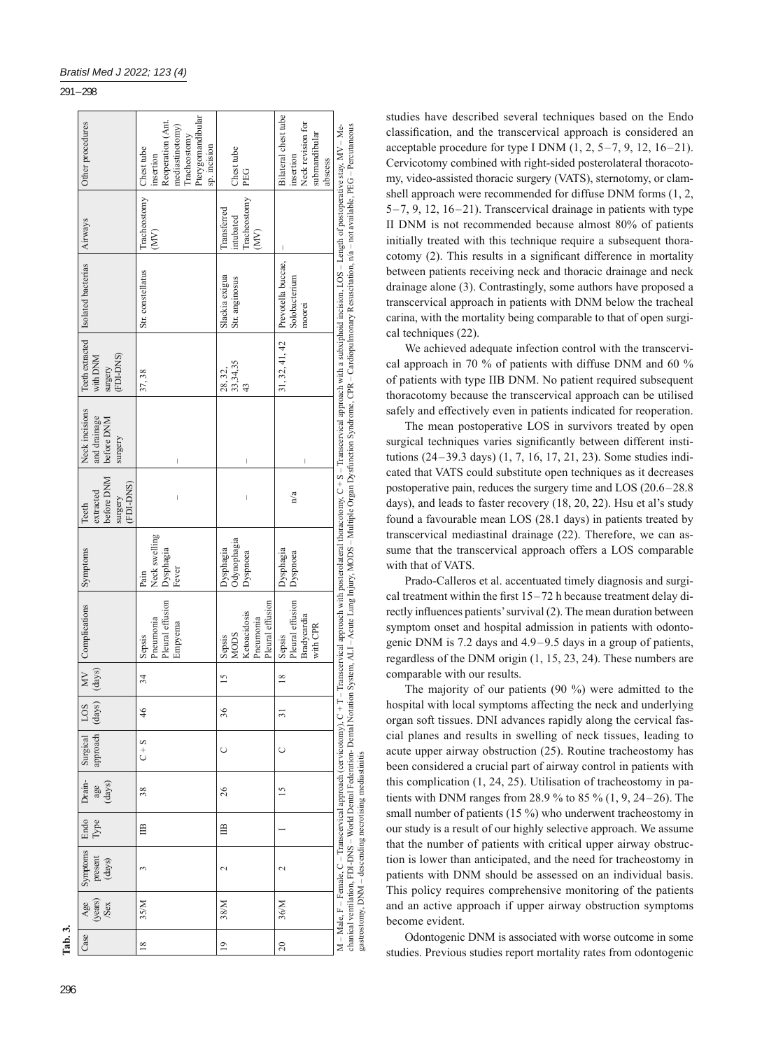# 291 – 298

| Tab. 3.         |                               |                                                                                                                                  |              |                 |                                    |                |                            |                                                                        |                                             |                                                          |                                                         |                                  |                                                                                                                                                                                                                                                                                                                                                                                                    |                                                                        |                                                                                                                     |  |
|-----------------|-------------------------------|----------------------------------------------------------------------------------------------------------------------------------|--------------|-----------------|------------------------------------|----------------|----------------------------|------------------------------------------------------------------------|---------------------------------------------|----------------------------------------------------------|---------------------------------------------------------|----------------------------------|----------------------------------------------------------------------------------------------------------------------------------------------------------------------------------------------------------------------------------------------------------------------------------------------------------------------------------------------------------------------------------------------------|------------------------------------------------------------------------|---------------------------------------------------------------------------------------------------------------------|--|
| Case            | $\frac{Age}{(years)}$<br>/Sex | Symptoms<br>present<br>(days)                                                                                                    | Endo<br>Type | age<br>(days)   | approach (days)<br>Drain- Surgical | LOS            | $\sum_{i=1}^{n}$<br>(days) | Complications                                                          | Symptoms                                    | before DNM<br>(FDI-DNS)<br>extracted<br>surgery<br>Teeth | Neck incisions<br>and drainage<br>before DNM<br>surgery | surgery<br>(FDI-DNS)<br>with DNM | Teeth extracted   Isolated bacterias                                                                                                                                                                                                                                                                                                                                                               | Airways                                                                | Other procedures                                                                                                    |  |
| $\frac{8}{2}$   | 35/M                          | 3                                                                                                                                | $\mathbb{B}$ | 38              | $C + S$                            | $\frac{4}{6}$  | 34                         | Pleural effusion<br>Pneumonia<br>Empyema<br>Sepsis                     | Neck swelling<br>Dysphagia<br>Fever<br>Pain | $\overline{\phantom{a}}$                                 | $\overline{\phantom{a}}$                                | 37,38                            | Str. constellatus                                                                                                                                                                                                                                                                                                                                                                                  | Tracheostomy<br>$\binom{N}{N}$                                         | Pterygomandibular<br>Reoperation (Ant<br>mediastinotomy)<br>Tracheostomy<br>sp. incision<br>Chest tube<br>insertion |  |
| $\overline{0}$  | 38/M                          | 2                                                                                                                                | $\mathbb{B}$ | 26              | Ò                                  | 36             | $\overline{15}$            | Pleural effusion<br>Ketoacidosis<br>Pneumonia<br><b>MODS</b><br>Sepsis | Odynophagia<br>Dysphagia<br>Dyspnoea        | I                                                        | $\overline{\phantom{a}}$                                | 33,34,35<br>28, 32,<br>43        | Slackia exigua<br>Str. anginosus                                                                                                                                                                                                                                                                                                                                                                   | Tracheostomy<br>Transferred<br>intubated<br>$\left( \text{MV} \right)$ | Chest tube<br>PEG                                                                                                   |  |
| $\overline{20}$ | 36/M                          | $\mathbf{\sim}$                                                                                                                  |              | $\overline{15}$ | Ō                                  | $\overline{5}$ | $\frac{8}{2}$              | Pleural effusion<br>Bradycardia<br>with CPR<br>Sepsis                  | Dysphagia<br>Dyspnoea                       | n/a                                                      |                                                         | 31, 32, 41, 42                   | Prevotella buccae,<br>Solobacterium<br>moorei                                                                                                                                                                                                                                                                                                                                                      | I                                                                      | Bilateral chest tube<br>Neck revision for<br>submandibular<br>insertion<br>abscess                                  |  |
|                 |                               | M - Male, F - Female, C - Transcervical approach (cervicotomy), C + T<br>gastrostomy, DNM - descending necrotising mediastinitis |              |                 |                                    |                |                            |                                                                        |                                             |                                                          |                                                         |                                  | -Transcervical approach with posterolateral thoracotomy, C + S - Transcervical approach with a subxiphoid incision, LOS - Length of postoperative stay, MV - Me-<br>chanical ventilation, FDI-DNS – World Dental Pederation- Dental Notation System, A.LI – Acute Lung Injury, MODS – Multiple Organ Dystunction Syndrome, CPR – Cardiopulmonary Resuscitation, n/a – not available, PEG – Percuta |                                                                        |                                                                                                                     |  |

296

studies have described several techniques based on the Endo classification, and the transcervical approach is considered an acceptable procedure for type I DNM  $(1, 2, 5-7, 9, 12, 16-21)$ . Cervicotomy combined with right-sided posterolateral thoracotomy, video-assisted thoracic surgery (VATS), sternotomy, or clamshell approach were recommended for diffuse DNM forms (1, 2, 5–7, 9, 12, 16–21). Transcervical drainage in patients with type II DNM is not recommended because almost 80% of patients initially treated with this technique require a subsequent thoracotomy  $(2)$ . This results in a significant difference in mortality between patients receiving neck and thoracic drainage and neck drainage alone (3). Contrastingly, some authors have proposed a transcervical approach in patients with DNM below the tracheal carina, with the mortality being comparable to that of open surgical techniques (22).

We achieved adequate infection control with the transcervical approach in 70 % of patients with diffuse DNM and 60 % of patients with type IIB DNM. No patient required subsequent thoracotomy because the transcervical approach can be utilised safely and effectively even in patients indicated for reoperation.

The mean postoperative LOS in survivors treated by open surgical techniques varies significantly between different institutions (24–39.3 days) (1, 7, 16, 17, 21, 23). Some studies indicated that VATS could substitute open techniques as it decreases postoperative pain, reduces the surgery time and LOS (20.6–28.8 days), and leads to faster recovery (18, 20, 22). Hsu et al's study found a favourable mean LOS (28.1 days) in patients treated by transcervical mediastinal drainage (22). Therefore, we can assume that the transcervical approach offers a LOS comparable with that of VATS.

Prado-Calleros et al. accentuated timely diagnosis and surgical treatment within the first  $15-72$  h because treatment delay directly influences patients' survival (2). The mean duration between symptom onset and hospital admission in patients with odontogenic DNM is 7.2 days and 4.9–9.5 days in a group of patients, regardless of the DNM origin (1, 15, 23, 24). These numbers are comparable with our results.

The majority of our patients (90 %) were admitted to the hospital with local symptoms affecting the neck and underlying organ soft tissues. DNI advances rapidly along the cervical fascial planes and results in swelling of neck tissues, leading to acute upper airway obstruction (25). Routine tracheostomy has been considered a crucial part of airway control in patients with this complication (1, 24, 25). Utilisation of tracheostomy in patients with DNM ranges from 28.9 % to 85 % (1, 9, 24–26). The small number of patients (15 %) who underwent tracheostomy in our study is a result of our highly selective approach. We assume that the number of patients with critical upper airway obstruction is lower than anticipated, and the need for tracheostomy in patients with DNM should be assessed on an individual basis. This policy requires comprehensive monitoring of the patients and an active approach if upper airway obstruction symptoms become evident.

Odontogenic DNM is associated with worse outcome in some studies. Previous studies report mortality rates from odontogenic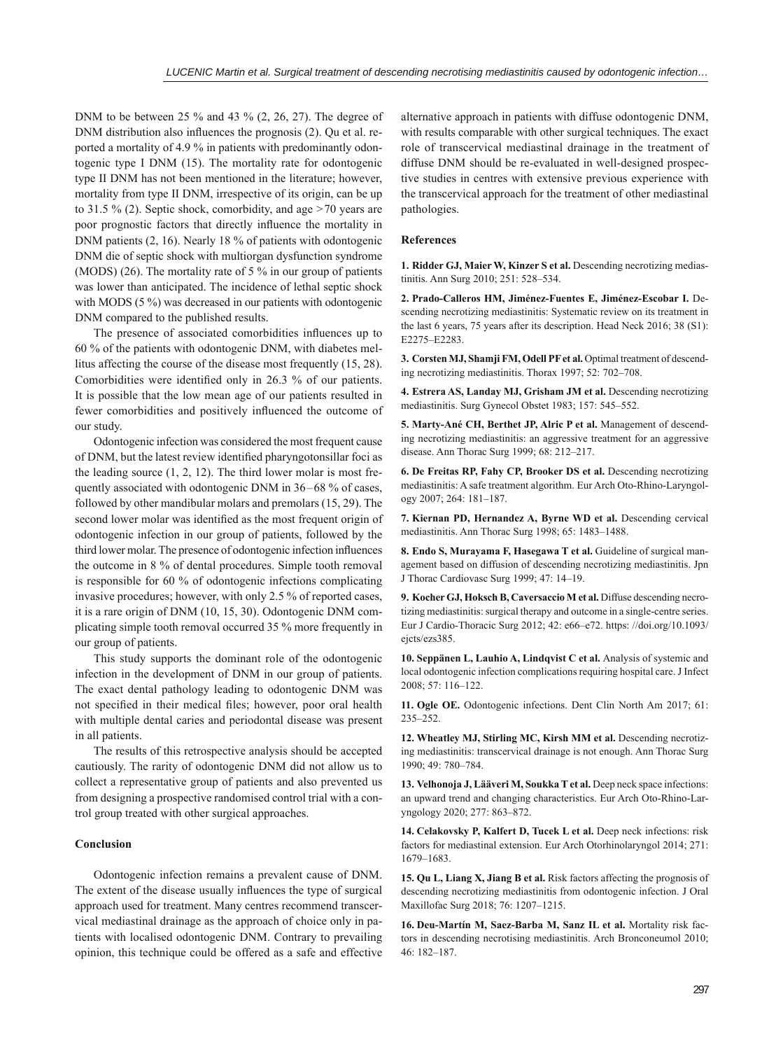DNM to be between 25  $%$  and 43  $%$  (2, 26, 27). The degree of DNM distribution also influences the prognosis (2). Qu et al. reported a mortality of 4.9 % in patients with predominantly odontogenic type I DNM (15). The mortality rate for odontogenic type II DNM has not been mentioned in the literature; however, mortality from type II DNM, irrespective of its origin, can be up to 31.5 % (2). Septic shock, comorbidity, and age >70 years are poor prognostic factors that directly influence the mortality in DNM patients (2, 16). Nearly 18 % of patients with odontogenic DNM die of septic shock with multiorgan dysfunction syndrome (MODS) (26). The mortality rate of 5 % in our group of patients was lower than anticipated. The incidence of lethal septic shock with MODS (5 %) was decreased in our patients with odontogenic DNM compared to the published results.

The presence of associated comorbidities influences up to 60 % of the patients with odontogenic DNM, with diabetes mellitus affecting the course of the disease most frequently (15, 28). Comorbidities were identified only in 26.3 % of our patients. It is possible that the low mean age of our patients resulted in fewer comorbidities and positively influenced the outcome of our study.

Odontogenic infection was considered the most frequent cause of DNM, but the latest review identified pharyngotonsillar foci as the leading source (1, 2, 12). The third lower molar is most frequently associated with odontogenic DNM in 36 –68 % of cases, followed by other mandibular molars and premolars (15, 29). The second lower molar was identified as the most frequent origin of odontogenic infection in our group of patients, followed by the third lower molar. The presence of odontogenic infection influences the outcome in 8 % of dental procedures. Simple tooth removal is responsible for 60 % of odontogenic infections complicating invasive procedures; however, with only 2.5 % of reported cases, it is a rare origin of DNM (10, 15, 30). Odontogenic DNM complicating simple tooth removal occurred 35 % more frequently in our group of patients.

This study supports the dominant role of the odontogenic infection in the development of DNM in our group of patients. The exact dental pathology leading to odontogenic DNM was not specified in their medical files; however, poor oral health with multiple dental caries and periodontal disease was present in all patients.

The results of this retrospective analysis should be accepted cautiously. The rarity of odontogenic DNM did not allow us to collect a representative group of patients and also prevented us from designing a prospective randomised control trial with a control group treated with other surgical approaches.

# **Conclusion**

Odontogenic infection remains a prevalent cause of DNM. The extent of the disease usually influences the type of surgical approach used for treatment. Many centres recommend transcervical mediastinal drainage as the approach of choice only in patients with localised odontogenic DNM. Contrary to prevailing opinion, this technique could be offered as a safe and effective

alternative approach in patients with diffuse odontogenic DNM, with results comparable with other surgical techniques. The exact role of transcervical mediastinal drainage in the treatment of diffuse DNM should be re-evaluated in well-designed prospective studies in centres with extensive previous experience with the transcervical approach for the treatment of other mediastinal pathologies.

#### **References**

**1. Ridder GJ, Maier W, Kinzer S et al.** Descending necrotizing mediastinitis. Ann Surg 2010; 251: 528–534.

**2. Prado-Calleros HM, Jiménez-Fuentes E, Jiménez-Escobar I.** Descending necrotizing mediastinitis: Systematic review on its treatment in the last 6 years, 75 years after its description. Head Neck 2016; 38 (S1): E2275–E2283.

**3. Corsten MJ, Shamji FM, Odell PF et al.** Optimal treatment of descending necrotizing mediastinitis. Thorax 1997; 52: 702–708.

**4. Estrera AS, Landay MJ, Grisham JM et al.** Descending necrotizing mediastinitis. Surg Gynecol Obstet 1983; 157: 545–552.

**5. Marty-Ané CH, Berthet JP, Alric P et al.** Management of descending necrotizing mediastinitis: an aggressive treatment for an aggressive disease. Ann Thorac Surg 1999; 68: 212–217.

**6. De Freitas RP, Fahy CP, Brooker DS et al.** Descending necrotizing mediastinitis: A safe treatment algorithm. Eur Arch Oto-Rhino-Laryngology 2007; 264: 181–187.

**7. Kiernan PD, Hernandez A, Byrne WD et al.** Descending cervical mediastinitis. Ann Thorac Surg 1998; 65: 1483–1488.

**8. Endo S, Murayama F, Hasegawa T et al.** Guideline of surgical management based on diffusion of descending necrotizing mediastinitis. Jpn J Thorac Cardiovasc Surg 1999; 47: 14–19.

**9. Kocher GJ, Hoksch B, Caversaccio M et al.** Diffuse descending necrotizing mediastinitis: surgical therapy and outcome in a single-centre series. Eur J Cardio-Thoracic Surg 2012; 42: e66–e72. https: //doi.org/10.1093/ ejcts/ezs385.

**10. Seppänen L, Lauhio A, Lindqvist C et al.** Analysis of systemic and local odontogenic infection complications requiring hospital care. J Infect 2008; 57: 116–122.

**11. Ogle OE.** Odontogenic infections. Dent Clin North Am 2017; 61: 235–252.

**12. Wheatley MJ, Stirling MC, Kirsh MM et al.** Descending necrotizing mediastinitis: transcervical drainage is not enough. Ann Thorac Surg 1990; 49: 780–784.

**13. Velhonoja J, Lääveri M, Soukka T et al.** Deep neck space infections: an upward trend and changing characteristics. Eur Arch Oto-Rhino-Laryngology 2020; 277: 863–872.

**14. Celakovsky P, Kalfert D, Tucek L et al.** Deep neck infections: risk factors for mediastinal extension. Eur Arch Otorhinolaryngol 2014; 271: 1679–1683.

**15. Qu L, Liang X, Jiang B et al.** Risk factors affecting the prognosis of descending necrotizing mediastinitis from odontogenic infection. J Oral Maxillofac Surg 2018; 76: 1207–1215.

**16. Deu-Martín M, Saez-Barba M, Sanz IL et al.** Mortality risk factors in descending necrotising mediastinitis. Arch Bronconeumol 2010; 46: 182–187.